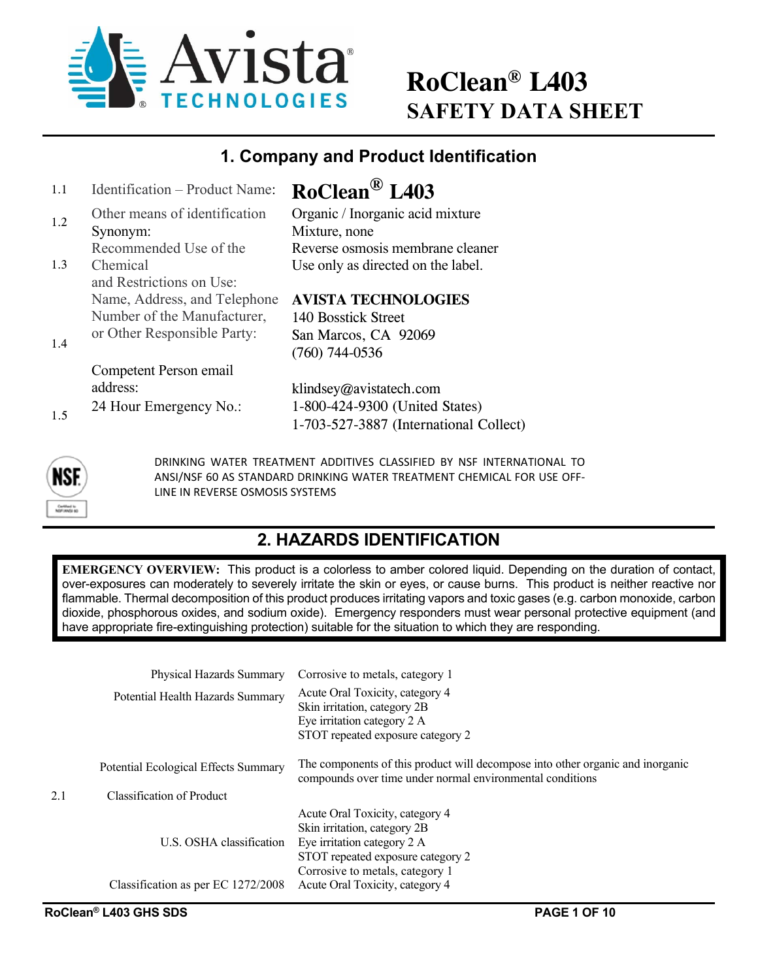

# **RoClean® L403 SAFETY DATA SHEET**

#### **1. Company and Product Identification**

| 1.1 | Identification - Product Name:            | RoClean <sup>®</sup> L403                         |
|-----|-------------------------------------------|---------------------------------------------------|
| 1.2 | Other means of identification<br>Synonym: | Organic / Inorganic acid mixture<br>Mixture, none |
|     | Recommended Use of the                    | Reverse osmosis membrane cleaner                  |
| 1.3 | Chemical<br>and Restrictions on Use:      | Use only as directed on the label.                |
|     | Name, Address, and Telephone              | <b>AVISTA TECHNOLOGIES</b>                        |
|     | Number of the Manufacturer,               | 140 Bosstick Street                               |
| 1.4 | or Other Responsible Party:               | San Marcos, CA 92069                              |
|     |                                           | $(760)$ 744-0536                                  |
|     | Competent Person email                    |                                                   |
|     | address:                                  | klindsey@avistatech.com                           |
| 1.5 | 24 Hour Emergency No.:                    | 1-800-424-9300 (United States)                    |
|     |                                           | 1-703-527-3887 (International Collect)            |
|     |                                           |                                                   |



DRINKING WATER TREATMENT ADDITIVES CLASSIFIED BY NSF INTERNATIONAL TO ANSI/NSF 60 AS STANDARD DRINKING WATER TREATMENT CHEMICAL FOR USE OFF‐ LINE IN REVERSE OSMOSIS SYSTEMS

### **2. HAZARDS IDENTIFICATION**

**EMERGENCY OVERVIEW:** This product is a colorless to amber colored liquid. Depending on the duration of contact, over-exposures can moderately to severely irritate the skin or eyes, or cause burns. This product is neither reactive nor flammable. Thermal decomposition of this product produces irritating vapors and toxic gases (e.g. carbon monoxide, carbon dioxide, phosphorous oxides, and sodium oxide). Emergency responders must wear personal protective equipment (and have appropriate fire-extinguishing protection) suitable for the situation to which they are responding.

|     | Physical Hazards Summary             | Corrosive to metals, category 1                                                                                                                                        |
|-----|--------------------------------------|------------------------------------------------------------------------------------------------------------------------------------------------------------------------|
|     | Potential Health Hazards Summary     | Acute Oral Toxicity, category 4<br>Skin irritation, category 2B<br>Eye irritation category 2 A<br>STOT repeated exposure category 2                                    |
|     | Potential Ecological Effects Summary | The components of this product will decompose into other organic and inorganic<br>compounds over time under normal environmental conditions                            |
| 2.1 | Classification of Product            |                                                                                                                                                                        |
|     | U.S. OSHA classification             | Acute Oral Toxicity, category 4<br>Skin irritation, category 2B<br>Eye irritation category 2 A<br>STOT repeated exposure category 2<br>Corrosive to metals, category 1 |
|     | Classification as per EC 1272/2008   | Acute Oral Toxicity, category 4                                                                                                                                        |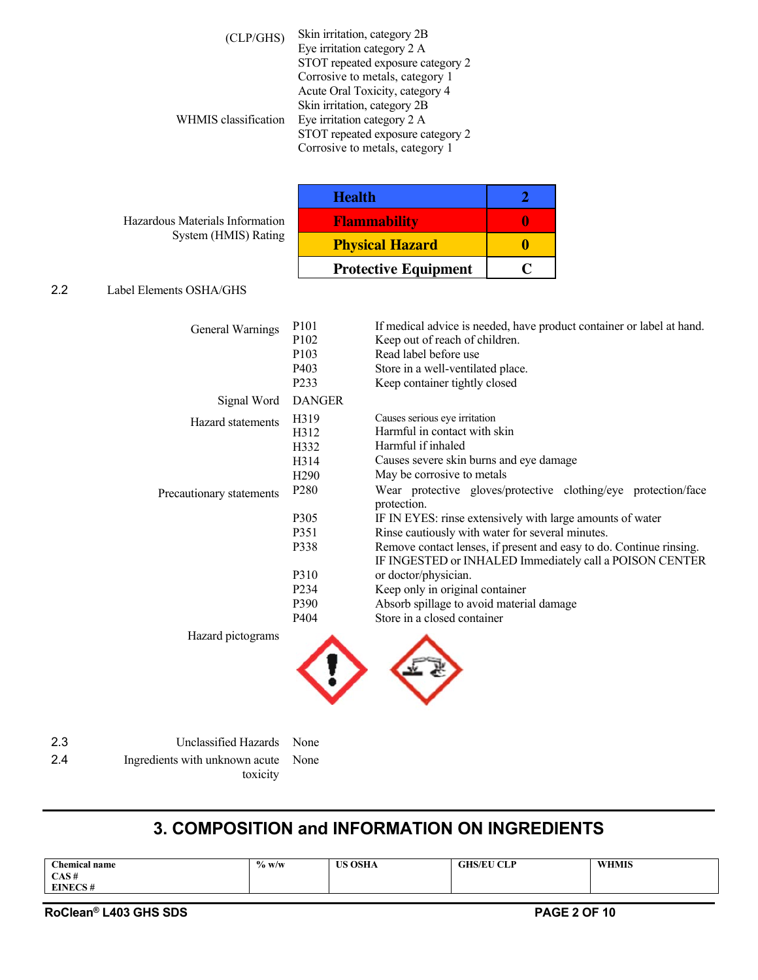| (CLP/GHS)            | Skin irritation, category 2B<br>Eye irritation category 2 A<br>STOT repeated exposure category 2    |
|----------------------|-----------------------------------------------------------------------------------------------------|
|                      | Corrosive to metals, category 1<br>Acute Oral Toxicity, category 4<br>Skin irritation, category 2B  |
| WHMIS classification | Eye irritation category 2 A<br>STOT repeated exposure category 2<br>Corrosive to metals, category 1 |

Hazardous Materials Information System (HMIS) Rating

| <b>Health</b>               |  |
|-----------------------------|--|
| <b>Flammability</b>         |  |
| <b>Physical Hazard</b>      |  |
| <b>Protective Equipment</b> |  |

#### 2.2 Label Elements OSHA/GHS

| General Warnings                              | P <sub>10</sub> 1<br>P <sub>102</sub><br>P <sub>103</sub><br>P <sub>40</sub> 3<br>P <sub>2</sub> 33                               | If medical advice is needed, have product container or label at hand.<br>Keep out of reach of children.<br>Read label before use<br>Store in a well-ventilated place.<br>Keep container tightly closed                                                                                                                                                                                                                                                                                                                                                                                                  |
|-----------------------------------------------|-----------------------------------------------------------------------------------------------------------------------------------|---------------------------------------------------------------------------------------------------------------------------------------------------------------------------------------------------------------------------------------------------------------------------------------------------------------------------------------------------------------------------------------------------------------------------------------------------------------------------------------------------------------------------------------------------------------------------------------------------------|
| Signal Word                                   | <b>DANGER</b>                                                                                                                     |                                                                                                                                                                                                                                                                                                                                                                                                                                                                                                                                                                                                         |
| Hazard statements<br>Precautionary statements | H319<br>H312<br>H332<br>H314<br>H <sub>290</sub><br>P <sub>280</sub><br>P305<br>P351<br>P338<br>P310<br>P <sub>2</sub> 34<br>P390 | Causes serious eye irritation<br>Harmful in contact with skin<br>Harmful if inhaled<br>Causes severe skin burns and eye damage<br>May be corrosive to metals<br>Wear protective gloves/protective clothing/eye protection/face<br>protection.<br>IF IN EYES: rinse extensively with large amounts of water<br>Rinse cautiously with water for several minutes.<br>Remove contact lenses, if present and easy to do. Continue rinsing.<br>IF INGESTED or INHALED Immediately call a POISON CENTER<br>or doctor/physician.<br>Keep only in original container<br>Absorb spillage to avoid material damage |
| Hazard pictograms                             | P404                                                                                                                              | Store in a closed container                                                                                                                                                                                                                                                                                                                                                                                                                                                                                                                                                                             |



| 2.3 | Unclassified Hazards None                       |  |
|-----|-------------------------------------------------|--|
| 24  | Ingredients with unknown acute None<br>toxicity |  |
|     |                                                 |  |

# **3. COMPOSITION and INFORMATION ON INGREDIENTS**

| CAS#<br><b>EINECS#</b> | <b>Chemical name</b> | $\%$ w/w | <b>US OSHA</b> | <b>GHS/EU CLP</b> | <b>WHMIS</b> |
|------------------------|----------------------|----------|----------------|-------------------|--------------|
|                        |                      |          |                |                   |              |
|                        |                      |          |                |                   |              |

**RoClean® L403 GHS SDS PAGE 2 OF 10**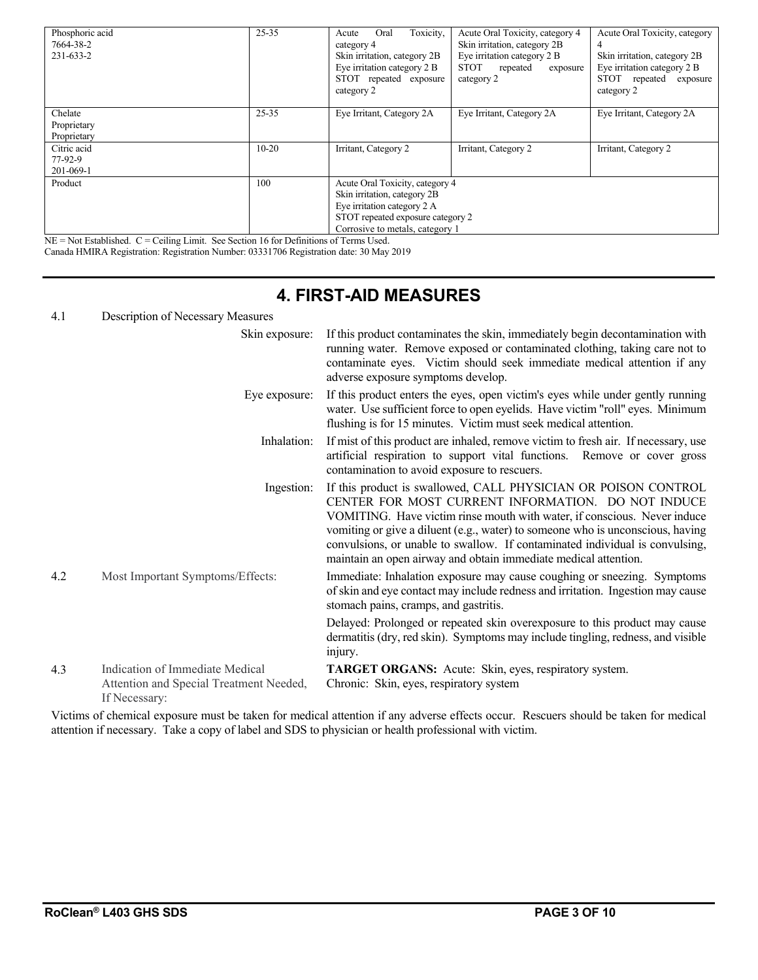| Phosphoric acid<br>7664-38-2<br>231-633-2 | $25 - 35$ | Toxicity,<br>Oral<br>Acute<br>category 4<br>Skin irritation, category 2B<br>Eye irritation category 2 B<br>STOT repeated exposure<br>category 2                        | Acute Oral Toxicity, category 4<br>Skin irritation, category 2B<br>Eye irritation category 2 B<br><b>STOT</b><br>repeated<br>exposure<br>category 2 | Acute Oral Toxicity, category<br>4<br>Skin irritation, category 2B<br>Eye irritation category 2 B<br>STOT<br>repeated<br>exposure<br>category 2 |  |
|-------------------------------------------|-----------|------------------------------------------------------------------------------------------------------------------------------------------------------------------------|-----------------------------------------------------------------------------------------------------------------------------------------------------|-------------------------------------------------------------------------------------------------------------------------------------------------|--|
| Chelate<br>Proprietary<br>Proprietary     | $25 - 35$ | Eye Irritant, Category 2A                                                                                                                                              | Eye Irritant, Category 2A                                                                                                                           | Eye Irritant, Category 2A                                                                                                                       |  |
| Citric acid<br>$77-92-9$<br>201-069-1     | $10 - 20$ | Irritant, Category 2                                                                                                                                                   | Irritant, Category 2                                                                                                                                | Irritant, Category 2                                                                                                                            |  |
| Product                                   | 100       | Acute Oral Toxicity, category 4<br>Skin irritation, category 2B<br>Eye irritation category 2 A<br>STOT repeated exposure category 2<br>Corrosive to metals, category 1 |                                                                                                                                                     |                                                                                                                                                 |  |

 $NE = Not$  Established.  $C = Ceiling$  Limit. See Section 16 for Definitions of Terms Used. Canada HMIRA Registration: Registration Number: 03331706 Registration date: 30 May 2019

### **4. FIRST-AID MEASURES**

#### 4.1 Description of Necessary Measures

|     | Skin exposure:                                                                              | If this product contaminates the skin, immediately begin decontamination with<br>running water. Remove exposed or contaminated clothing, taking care not to<br>contaminate eyes. Victim should seek immediate medical attention if any<br>adverse exposure symptoms develop.                                                                                                                                                          |
|-----|---------------------------------------------------------------------------------------------|---------------------------------------------------------------------------------------------------------------------------------------------------------------------------------------------------------------------------------------------------------------------------------------------------------------------------------------------------------------------------------------------------------------------------------------|
|     | Eye exposure:                                                                               | If this product enters the eyes, open victim's eyes while under gently running<br>water. Use sufficient force to open eyelids. Have victim "roll" eyes. Minimum<br>flushing is for 15 minutes. Victim must seek medical attention.                                                                                                                                                                                                    |
|     | Inhalation:                                                                                 | If mist of this product are inhaled, remove victim to fresh air. If necessary, use<br>artificial respiration to support vital functions. Remove or cover gross<br>contamination to avoid exposure to rescuers.                                                                                                                                                                                                                        |
|     | Ingestion:                                                                                  | If this product is swallowed, CALL PHYSICIAN OR POISON CONTROL<br>CENTER FOR MOST CURRENT INFORMATION. DO NOT INDUCE<br>VOMITING. Have victim rinse mouth with water, if conscious. Never induce<br>vomiting or give a diluent (e.g., water) to someone who is unconscious, having<br>convulsions, or unable to swallow. If contaminated individual is convulsing,<br>maintain an open airway and obtain immediate medical attention. |
| 4.2 | Most Important Symptoms/Effects:                                                            | Immediate: Inhalation exposure may cause coughing or sneezing. Symptoms<br>of skin and eye contact may include redness and irritation. Ingestion may cause<br>stomach pains, cramps, and gastritis.                                                                                                                                                                                                                                   |
|     |                                                                                             | Delayed: Prolonged or repeated skin overexposure to this product may cause<br>dermatitis (dry, red skin). Symptoms may include tingling, redness, and visible<br>injury.                                                                                                                                                                                                                                                              |
| 4.3 | Indication of Immediate Medical<br>Attention and Special Treatment Needed,<br>If Necessary: | TARGET ORGANS: Acute: Skin, eyes, respiratory system.<br>Chronic: Skin, eyes, respiratory system                                                                                                                                                                                                                                                                                                                                      |

Victims of chemical exposure must be taken for medical attention if any adverse effects occur. Rescuers should be taken for medical attention if necessary. Take a copy of label and SDS to physician or health professional with victim.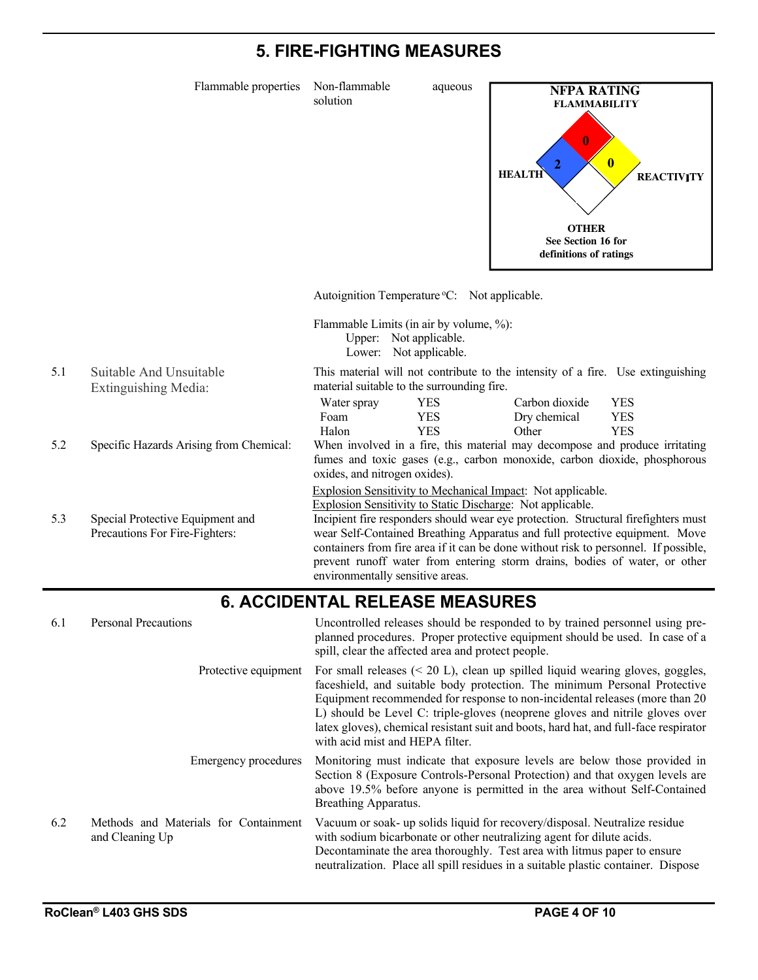### **5. FIRE-FIGHTING MEASURES**

Flammable properties Non-flammable aqueous

solution



Autoignition Temperature °C: Not applicable.

Flammable Limits (in air by volume, %): Upper: Not applicable. Lower: Not applicable.

- 5.1 Suitable And Unsuitable Extinguishing Media:
- 
- 5.3 Special Protective Equipment and Precautions For Fire-Fighters:

| material suitable to the surrounding fire. |     |                |      |  |  |  |
|--------------------------------------------|-----|----------------|------|--|--|--|
| Water spray                                | YES | Carbon dioxide | YES  |  |  |  |
| Foam                                       | YES | Dry chemical   | YES. |  |  |  |
| Halon                                      | YES | Other          | YES. |  |  |  |

5.2 Specific Hazards Arising from Chemical: When involved in a fire, this material may decompose and produce irritating fumes and toxic gases (e.g., carbon monoxide, carbon dioxide, phosphorous oxides, and nitrogen oxides).

This material will not contribute to the intensity of a fire. Use extinguishing

Explosion Sensitivity to Mechanical Impact: Not applicable.

Explosion Sensitivity to Static Discharge: Not applicable.

Incipient fire responders should wear eye protection. Structural firefighters must wear Self-Contained Breathing Apparatus and full protective equipment. Move containers from fire area if it can be done without risk to personnel. If possible, prevent runoff water from entering storm drains, bodies of water, or other environmentally sensitive areas.

#### **6. ACCIDENTAL RELEASE MEASURES**

6.1 Personal Precautions Uncontrolled releases should be responded to by trained personnel using preplanned procedures. Proper protective equipment should be used. In case of a spill, clear the affected area and protect people. Protective equipment For small releases (< 20 L), clean up spilled liquid wearing gloves, goggles, faceshield, and suitable body protection. The minimum Personal Protective Equipment recommended for response to non-incidental releases (more than 20 L) should be Level C: triple-gloves (neoprene gloves and nitrile gloves over latex gloves), chemical resistant suit and boots, hard hat, and full-face respirator with acid mist and HEPA filter. Emergency procedures Monitoring must indicate that exposure levels are below those provided in Section 8 (Exposure Controls-Personal Protection) and that oxygen levels are above 19.5% before anyone is permitted in the area without Self-Contained Breathing Apparatus. 6.2 Methods and Materials for Containment and Cleaning Up Vacuum or soak- up solids liquid for recovery/disposal. Neutralize residue with sodium bicarbonate or other neutralizing agent for dilute acids. Decontaminate the area thoroughly. Test area with litmus paper to ensure neutralization. Place all spill residues in a suitable plastic container. Dispose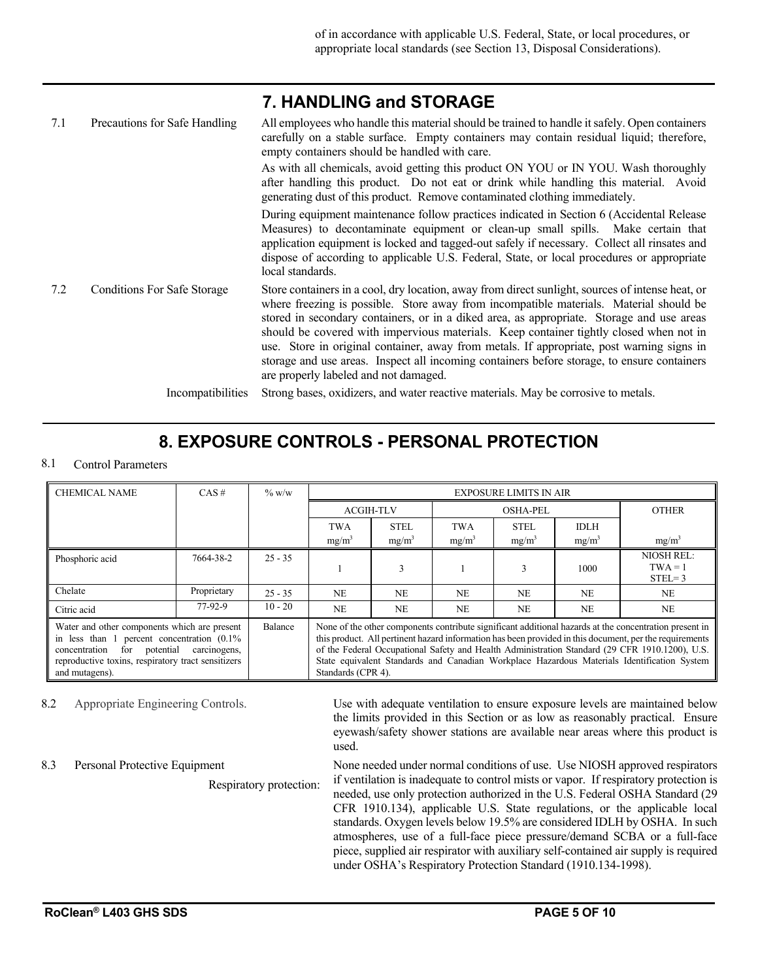|     |                               | 7. HANDLING AND STURAGE                                                                                                                                                                                                                                   |
|-----|-------------------------------|-----------------------------------------------------------------------------------------------------------------------------------------------------------------------------------------------------------------------------------------------------------|
| 7.1 | Precautions for Safe Handling | All employees who handle this material should be trained to handle it safely. Open containers<br>carefully on a stable surface. Empty containers may contain residual liquid; therefore,<br>empty containers should be handled with care.                 |
|     |                               | As with all chemicals, avoid getting this product ON YOU or IN YOU. Wash thoroughly<br>after handling this product. Do not eat or drink while handling this material. Avoid<br>generating dust of this product. Remove contaminated clothing immediately. |
|     |                               | During equipment maintenance follow practices indicated in Section 6 (Accidental Release                                                                                                                                                                  |

**7. HANDLING and STORAGE**

cidental Release Measures) to decontaminate equipment or clean-up small spills. Make certain that application equipment is locked and tagged-out safely if necessary. Collect all rinsates and dispose of according to applicable U.S. Federal, State, or local procedures or appropriate local standards.

7.2 Conditions For Safe Storage Store containers in a cool, dry location, away from direct sunlight, sources of intense heat, or where freezing is possible. Store away from incompatible materials. Material should be stored in secondary containers, or in a diked area, as appropriate. Storage and use areas should be covered with impervious materials. Keep container tightly closed when not in use. Store in original container, away from metals. If appropriate, post warning signs in storage and use areas. Inspect all incoming containers before storage, to ensure containers are properly labeled and not damaged.

Incompatibilities Strong bases, oxidizers, and water reactive materials. May be corrosive to metals.

### **8. EXPOSURE CONTROLS - PERSONAL PROTECTION**

#### 8.1 Control Parameters

| <b>CHEMICAL NAME</b>                                                                                                                                                                                                             | CAS# | $\%$ w/w  |                                                                                                                                                                                                                                                                                                                                                                                                                                          | <b>EXPOSURE LIMITS IN AIR</b> |                 |             |             |                                            |
|----------------------------------------------------------------------------------------------------------------------------------------------------------------------------------------------------------------------------------|------|-----------|------------------------------------------------------------------------------------------------------------------------------------------------------------------------------------------------------------------------------------------------------------------------------------------------------------------------------------------------------------------------------------------------------------------------------------------|-------------------------------|-----------------|-------------|-------------|--------------------------------------------|
|                                                                                                                                                                                                                                  |      |           | <b>ACGIH-TLV</b>                                                                                                                                                                                                                                                                                                                                                                                                                         |                               | <b>OSHA-PEL</b> |             |             | <b>OTHER</b>                               |
|                                                                                                                                                                                                                                  |      |           | TWA                                                                                                                                                                                                                                                                                                                                                                                                                                      | <b>STEL</b>                   | <b>TWA</b>      | <b>STEL</b> | <b>IDLH</b> |                                            |
|                                                                                                                                                                                                                                  |      |           | $mg/m^3$                                                                                                                                                                                                                                                                                                                                                                                                                                 | mg/m <sup>3</sup>             | $mg/m^3$        | $mg/m^3$    | $mg/m^3$    | mg/m <sup>3</sup>                          |
| 7664-38-2<br>Phosphoric acid                                                                                                                                                                                                     |      | $25 - 35$ |                                                                                                                                                                                                                                                                                                                                                                                                                                          | 3                             |                 |             | 1000        | <b>NIOSH REL:</b><br>$TWA = 1$<br>$STEL=3$ |
| Chelate<br>Proprietary<br>$25 - 35$                                                                                                                                                                                              |      |           | N <sub>E</sub>                                                                                                                                                                                                                                                                                                                                                                                                                           | <b>NE</b>                     | <b>NE</b>       | <b>NE</b>   | NE.         | <b>NE</b>                                  |
| 77-92-9<br>Citric acid                                                                                                                                                                                                           |      | $10 - 20$ | <b>NE</b>                                                                                                                                                                                                                                                                                                                                                                                                                                | <b>NE</b>                     | N <sub>E</sub>  | <b>NE</b>   | NE.         | <b>NE</b>                                  |
| Water and other components which are present<br>Balance<br>in less than 1 percent concentration $(0.1\%)$<br>for potential carcinogens,<br>concentration<br>reproductive toxins, respiratory tract sensitizers<br>and mutagens). |      |           | None of the other components contribute significant additional hazards at the concentration present in<br>this product. All pertinent hazard information has been provided in this document, per the requirements<br>of the Federal Occupational Safety and Health Administration Standard (29 CFR 1910.1200), U.S.<br>State equivalent Standards and Canadian Workplace Hazardous Materials Identification System<br>Standards (CPR 4). |                               |                 |             |             |                                            |

8.3 Personal Protective Equipment

8.2 Appropriate Engineering Controls. Use with adequate ventilation to ensure exposure levels are maintained below the limits provided in this Section or as low as reasonably practical. Ensure eyewash/safety shower stations are available near areas where this product is used.

> None needed under normal conditions of use. Use NIOSH approved respirators if ventilation is inadequate to control mists or vapor. If respiratory protection is needed, use only protection authorized in the U.S. Federal OSHA Standard (29 CFR 1910.134), applicable U.S. State regulations, or the applicable local standards. Oxygen levels below 19.5% are considered IDLH by OSHA. In such atmospheres, use of a full-face piece pressure/demand SCBA or a full-face piece, supplied air respirator with auxiliary self-contained air supply is required under OSHA's Respiratory Protection Standard (1910.134-1998).

Respiratory protection: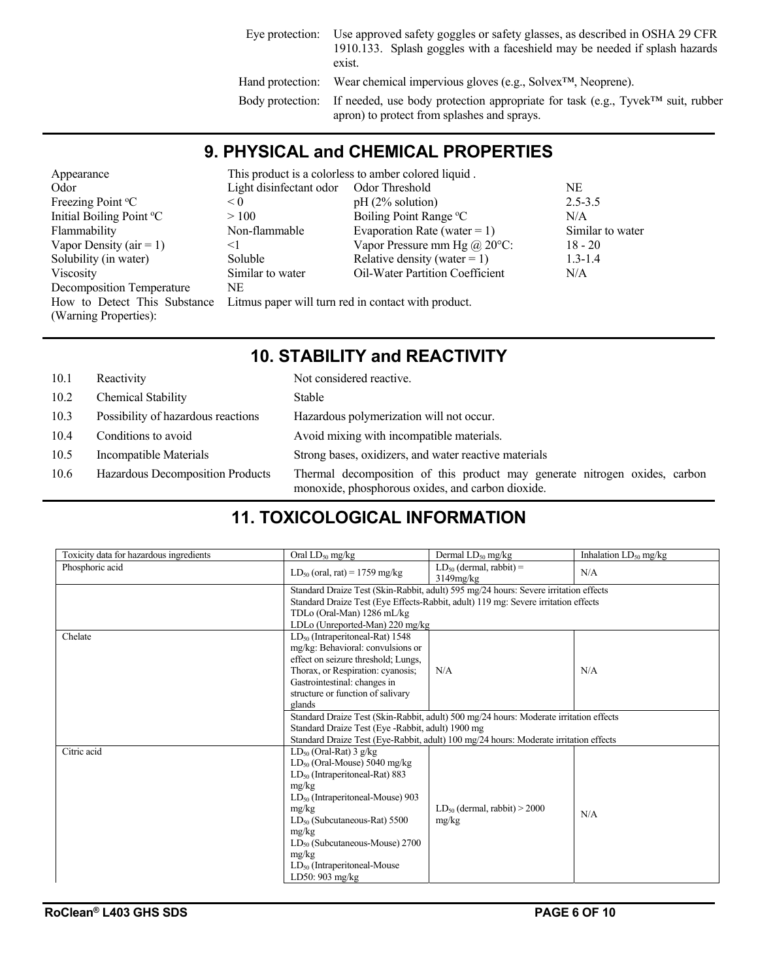| Eye protection: | Use approved safety goggles or safety glasses, as described in OSHA 29 CFR<br>1910.133. Splash goggles with a faceshield may be needed if splash hazards<br>exist. |
|-----------------|--------------------------------------------------------------------------------------------------------------------------------------------------------------------|
|                 | Hand protection: Wear chemical impervious gloves (e.g., Solvex <sup>TM</sup> , Neoprene).                                                                          |
|                 | Body protection: If needed, use body protection appropriate for task (e.g., Tyvek <sup>TM</sup> suit, rubber<br>apron) to protect from splashes and sprays.        |

#### **9. PHYSICAL and CHEMICAL PROPERTIES**

| Appearance                   |                         | This product is a colorless to amber colored liquid. |                  |
|------------------------------|-------------------------|------------------------------------------------------|------------------|
| Odor                         | Light disinfectant odor | Odor Threshold                                       | NE               |
| Freezing Point °C            | < 0                     | $pH(2%$ solution)                                    | $2.5 - 3.5$      |
| Initial Boiling Point °C     | >100                    | Boiling Point Range °C                               | N/A              |
| Flammability                 | Non-flammable           | Evaporation Rate (water = 1)                         | Similar to water |
| Vapor Density ( $air = 1$ )  | $\leq$                  | Vapor Pressure mm Hg $(a)$ 20 $\degree$ C:           | $18 - 20$        |
| Solubility (in water)        | Soluble                 | Relative density (water = 1)                         | $1.3 - 1.4$      |
| Viscosity                    | Similar to water        | <b>Oil-Water Partition Coefficient</b>               | N/A              |
| Decomposition Temperature    | NE                      |                                                      |                  |
| How to Detect This Substance |                         | Litmus paper will turn red in contact with product.  |                  |
| (Warning Properties):        |                         |                                                      |                  |

# **10. STABILITY and REACTIVITY**

| 10.1 | Reactivity                         | Not considered reactive.                                                                                                        |
|------|------------------------------------|---------------------------------------------------------------------------------------------------------------------------------|
| 10.2 | Chemical Stability                 | Stable                                                                                                                          |
| 10.3 | Possibility of hazardous reactions | Hazardous polymerization will not occur.                                                                                        |
| 10.4 | Conditions to avoid                | Avoid mixing with incompatible materials.                                                                                       |
| 10.5 | Incompatible Materials             | Strong bases, oxidizers, and water reactive materials                                                                           |
| 10.6 | Hazardous Decomposition Products   | Thermal decomposition of this product may generate nitrogen oxides, carbon<br>monoxide, phosphorous oxides, and carbon dioxide. |

# **11. TOXICOLOGICAL INFORMATION**

| Toxicity data for hazardous ingredients | Oral $LD_{50}$ mg/kg                                                                                                                                                                                                                                                                                                             | Dermal $LD_{50}$ mg/kg                                                                                                                                                     | Inhalation $LD_{50}$ mg/kg |  |  |
|-----------------------------------------|----------------------------------------------------------------------------------------------------------------------------------------------------------------------------------------------------------------------------------------------------------------------------------------------------------------------------------|----------------------------------------------------------------------------------------------------------------------------------------------------------------------------|----------------------------|--|--|
| Phosphoric acid                         | $LD_{50}$ (oral, rat) = 1759 mg/kg                                                                                                                                                                                                                                                                                               | $LD_{50}$ (dermal, rabbit) =<br>3149mg/kg                                                                                                                                  | N/A                        |  |  |
|                                         |                                                                                                                                                                                                                                                                                                                                  | Standard Draize Test (Skin-Rabbit, adult) 595 mg/24 hours: Severe irritation effects<br>Standard Draize Test (Eye Effects-Rabbit, adult) 119 mg: Severe irritation effects |                            |  |  |
|                                         | LDLo (Unreported-Man) 220 mg/kg                                                                                                                                                                                                                                                                                                  | TDLo (Oral-Man) 1286 mL/kg                                                                                                                                                 |                            |  |  |
| Chelate                                 | $LD_{50}$ (Intraperitoneal-Rat) 1548<br>mg/kg: Behavioral: convulsions or<br>effect on seizure threshold; Lungs,<br>Thorax, or Respiration: cyanosis;                                                                                                                                                                            | N/A                                                                                                                                                                        | N/A                        |  |  |
|                                         | Gastrointestinal: changes in<br>structure or function of salivary<br>glands                                                                                                                                                                                                                                                      |                                                                                                                                                                            |                            |  |  |
|                                         | Standard Draize Test (Skin-Rabbit, adult) 500 mg/24 hours: Moderate irritation effects<br>Standard Draize Test (Eye - Rabbit, adult) 1900 mg<br>Standard Draize Test (Eye-Rabbit, adult) 100 mg/24 hours: Moderate irritation effects                                                                                            |                                                                                                                                                                            |                            |  |  |
| Citric acid                             | $LD_{50}$ (Oral-Rat) 3 g/kg<br>$LD_{50}$ (Oral-Mouse) 5040 mg/kg<br>$LD_{50}$ (Intraperitoneal-Rat) 883<br>mg/kg<br>$LD_{50}$ (Intraperitoneal-Mouse) 903<br>mg/kg<br>$LD_{50}$ (Subcutaneous-Rat) 5500<br>mg/kg<br>$LD_{50}$ (Subcutaneous-Mouse) 2700<br>mg/kg<br>LD <sub>50</sub> (Intraperitoneal-Mouse<br>LD50: $903$ mg/kg | $LD_{50}$ (dermal, rabbit) > 2000<br>mg/kg                                                                                                                                 | N/A                        |  |  |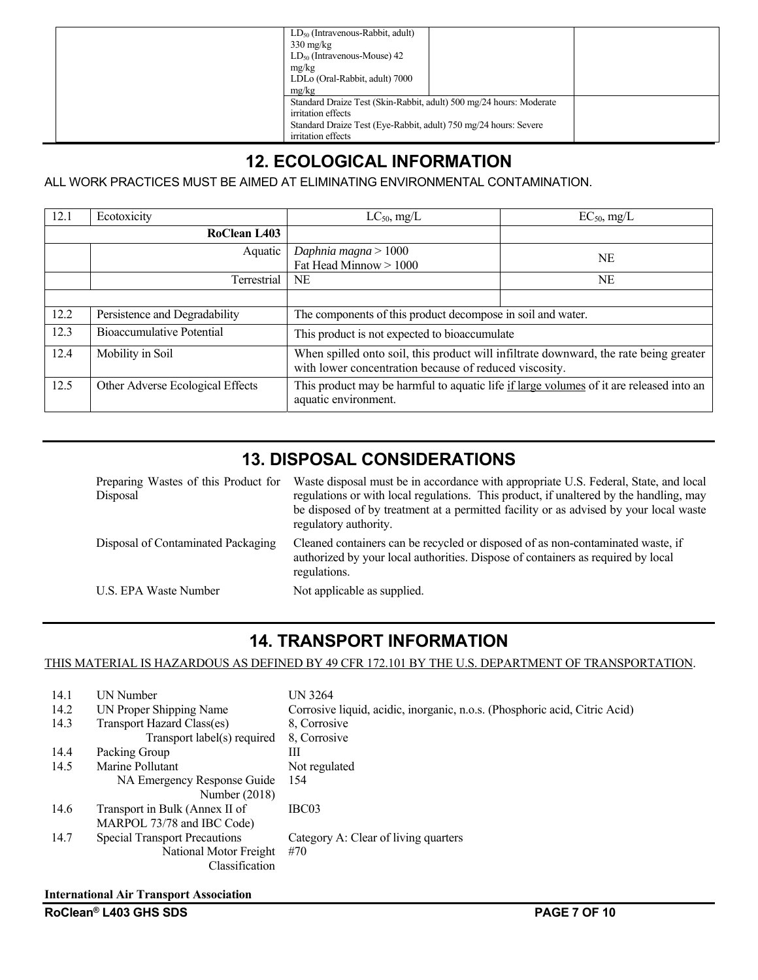| $LD_{50}$ (Intravenous-Rabbit, adult)<br>$330 \text{ mg/kg}$<br>$LD_{50}$ (Intravenous-Mouse) 42<br>mg/kg<br>LDLo (Oral-Rabbit, adult) 7000<br>mg/kg                                |
|-------------------------------------------------------------------------------------------------------------------------------------------------------------------------------------|
| Standard Draize Test (Skin-Rabbit, adult) 500 mg/24 hours: Moderate<br>irritation effects<br>Standard Draize Test (Eye-Rabbit, adult) 750 mg/24 hours: Severe<br>irritation effects |

# **12. ECOLOGICAL INFORMATION**

ALL WORK PRACTICES MUST BE AIMED AT ELIMINATING ENVIRONMENTAL CONTAMINATION.

| 12.1 | Ecotoxicity                      | $LC_{50}$ , mg/L                                            | $EC_{50}$ , mg/L                                                                        |
|------|----------------------------------|-------------------------------------------------------------|-----------------------------------------------------------------------------------------|
|      | RoClean L403                     |                                                             |                                                                                         |
|      | Aquatic                          | Daphnia magna > $1000$<br>Fat Head Minnow > 1000            | <b>NE</b>                                                                               |
|      | Terrestrial                      | NE                                                          | <b>NE</b>                                                                               |
|      |                                  |                                                             |                                                                                         |
| 12.2 | Persistence and Degradability    | The components of this product decompose in soil and water. |                                                                                         |
| 12.3 | Bioaccumulative Potential        | This product is not expected to bioaccumulate               |                                                                                         |
| 12.4 | Mobility in Soil                 | with lower concentration because of reduced viscosity.      | When spilled onto soil, this product will infiltrate downward, the rate being greater   |
| 12.5 | Other Adverse Ecological Effects | aquatic environment.                                        | This product may be harmful to aquatic life if large volumes of it are released into an |

### **13. DISPOSAL CONSIDERATIONS**

| Preparing Wastes of this Product for<br>Disposal | Waste disposal must be in accordance with appropriate U.S. Federal, State, and local<br>regulations or with local regulations. This product, if unaltered by the handling, may<br>be disposed of by treatment at a permitted facility or as advised by your local waste<br>regulatory authority. |
|--------------------------------------------------|--------------------------------------------------------------------------------------------------------------------------------------------------------------------------------------------------------------------------------------------------------------------------------------------------|
| Disposal of Contaminated Packaging               | Cleaned containers can be recycled or disposed of as non-contaminated waste, if<br>authorized by your local authorities. Dispose of containers as required by local<br>regulations.                                                                                                              |
| U.S. EPA Waste Number                            | Not applicable as supplied.                                                                                                                                                                                                                                                                      |

### **14. TRANSPORT INFORMATION**

THIS MATERIAL IS HAZARDOUS AS DEFINED BY 49 CFR 172.101 BY THE U.S. DEPARTMENT OF TRANSPORTATION.

| 14.1 | UN Number                            | UN 3264                                                                    |
|------|--------------------------------------|----------------------------------------------------------------------------|
| 14.2 | UN Proper Shipping Name              | Corrosive liquid, acidic, inorganic, n.o.s. (Phosphoric acid, Citric Acid) |
| 14.3 | Transport Hazard Class(es)           | 8, Corrosive                                                               |
|      | Transport label(s) required          | 8. Corrosive                                                               |
| 14.4 | Packing Group                        | Ш                                                                          |
| 14.5 | Marine Pollutant                     | Not regulated                                                              |
|      | NA Emergency Response Guide          | 154                                                                        |
|      | Number (2018)                        |                                                                            |
| 14.6 | Transport in Bulk (Annex II of       | IBC03                                                                      |
|      | MARPOL 73/78 and IBC Code)           |                                                                            |
| 14.7 | <b>Special Transport Precautions</b> | Category A: Clear of living quarters                                       |
|      | National Motor Freight               | #70                                                                        |
|      | Classification                       |                                                                            |
|      |                                      |                                                                            |

#### **International Air Transport Association**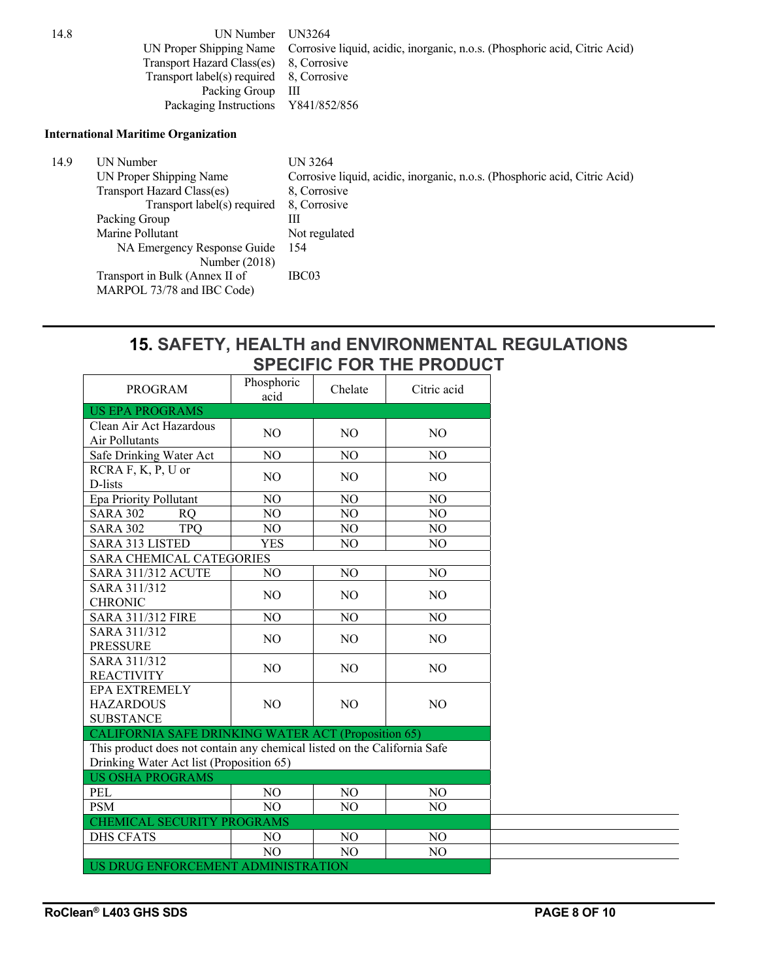14.8 UN Number UN3264 UN Proper Shipping Name Corrosive liquid, acidic, inorganic, n.o.s. (Phosphoric acid, Citric Acid) Transport Hazard Class(es) 8, Corrosive Transport label(s) required 8, Corrosive Packing Group III Packaging Instructions Y841/852/856

#### **International Maritime Organization**

| 14.9 | UN Number                      | UN 3264                                                                    |
|------|--------------------------------|----------------------------------------------------------------------------|
|      | UN Proper Shipping Name        | Corrosive liquid, acidic, inorganic, n.o.s. (Phosphoric acid, Citric Acid) |
|      | Transport Hazard Class(es)     | 8. Corrosive                                                               |
|      | Transport label(s) required    | 8, Corrosive                                                               |
|      | Packing Group                  | Ш                                                                          |
|      | Marine Pollutant               | Not regulated                                                              |
|      | NA Emergency Response Guide    | -154                                                                       |
|      | Number $(2018)$                |                                                                            |
|      | Transport in Bulk (Annex II of | IBC03                                                                      |
|      | MARPOL 73/78 and IBC Code)     |                                                                            |

#### **15. SAFETY, HEALTH and ENVIRONMENTAL REGULATIONS SPECIFIC FOR THE PRODUCT**

| <b>PROGRAM</b>                                                                                                       | Phosphoric<br>acid | Chelate        | Citric acid    |
|----------------------------------------------------------------------------------------------------------------------|--------------------|----------------|----------------|
| <b>US EPA PROGRAMS</b>                                                                                               |                    |                |                |
| Clean Air Act Hazardous<br>Air Pollutants                                                                            | N <sub>O</sub>     | NO.            | NO.            |
| Safe Drinking Water Act                                                                                              | NO                 | NO.            | NO             |
| RCRA F, K, P, U or<br>D-lists                                                                                        | N <sub>O</sub>     | N <sub>O</sub> | NO.            |
| Epa Priority Pollutant                                                                                               | N <sub>O</sub>     | NO             | NO             |
| <b>SARA 302</b><br><b>RQ</b>                                                                                         | N <sub>O</sub>     | NO             | NO             |
| <b>SARA 302</b><br><b>TPQ</b>                                                                                        | NO                 | NO             | NO             |
| <b>SARA 313 LISTED</b>                                                                                               | <b>YES</b>         | NO             | NO             |
| <b>SARA CHEMICAL CATEGORIES</b>                                                                                      |                    |                |                |
| <b>SARA 311/312 ACUTE</b>                                                                                            | NO                 | NO             | NO             |
| SARA 311/312<br><b>CHRONIC</b>                                                                                       | N <sub>O</sub>     | NO.            | NO.            |
| <b>SARA 311/312 FIRE</b>                                                                                             | N <sub>O</sub>     | NO             | NO             |
| SARA 311/312<br><b>PRESSURE</b>                                                                                      | NO                 | N <sub>O</sub> | N <sub>O</sub> |
| SARA 311/312<br><b>REACTIVITY</b>                                                                                    | N <sub>O</sub>     | N <sub>O</sub> | N <sub>O</sub> |
| <b>EPA EXTREMELY</b><br><b>HAZARDOUS</b><br><b>SUBSTANCE</b>                                                         | NO                 | N <sub>O</sub> | NO             |
| CALIFORNIA SAFE DRINKING WATER ACT (Proposition 65)                                                                  |                    |                |                |
| This product does not contain any chemical listed on the California Safe<br>Drinking Water Act list (Proposition 65) |                    |                |                |
| <b>US OSHA PROGRAMS</b>                                                                                              |                    |                |                |
| <b>PEL</b>                                                                                                           | N <sub>O</sub>     | NO.            | NO             |
| <b>PSM</b>                                                                                                           | N <sub>O</sub>     | NO             | NO             |
| CHEMICAL SECURITY PROGRAMS                                                                                           |                    |                |                |
| <b>DHS CFATS</b>                                                                                                     | NO.                | N <sub>O</sub> | NO.            |
|                                                                                                                      | NO                 | NO             | NO             |
| US DRUG ENFORCEMENT ADMINISTRATION                                                                                   |                    |                |                |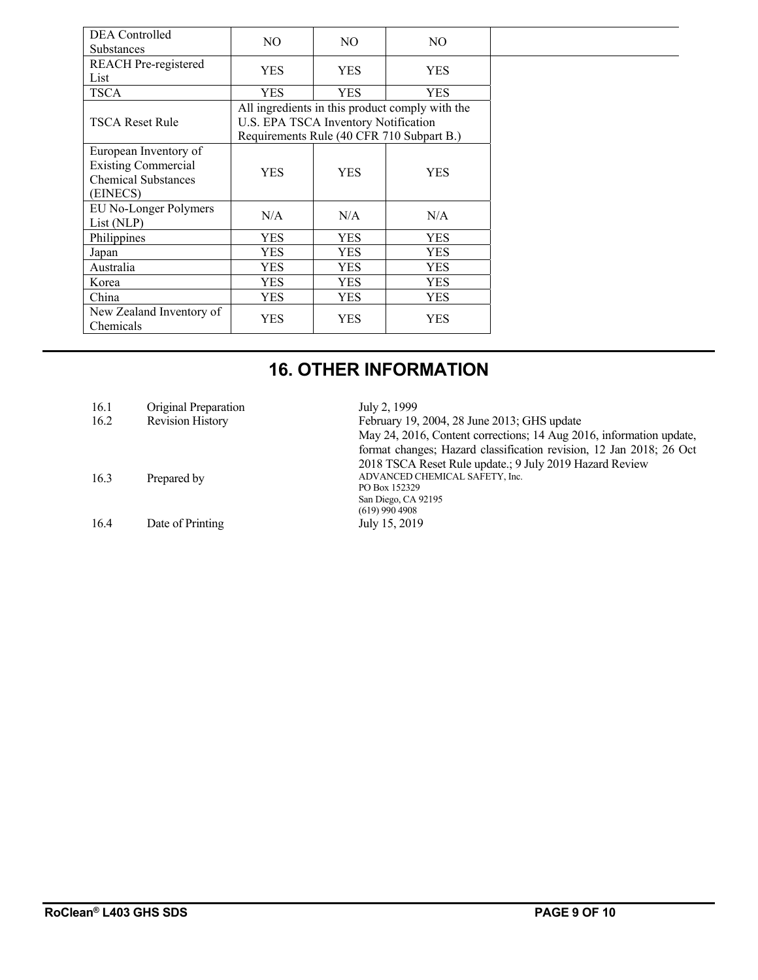| DEA Controlled                                                                                | NO.        | NO.                                  | N <sub>O</sub>                                  |  |  |
|-----------------------------------------------------------------------------------------------|------------|--------------------------------------|-------------------------------------------------|--|--|
| <b>Substances</b>                                                                             |            |                                      |                                                 |  |  |
| <b>REACH</b> Pre-registered<br>List                                                           | <b>YES</b> | <b>YES</b>                           | <b>YES</b>                                      |  |  |
| <b>TSCA</b>                                                                                   | YES        | <b>YES</b>                           | <b>YES</b>                                      |  |  |
|                                                                                               |            |                                      | All ingredients in this product comply with the |  |  |
| <b>TSCA Reset Rule</b>                                                                        |            | U.S. EPA TSCA Inventory Notification |                                                 |  |  |
|                                                                                               |            |                                      | Requirements Rule (40 CFR 710 Subpart B.)       |  |  |
| European Inventory of<br><b>Existing Commercial</b><br><b>Chemical Substances</b><br>(EINECS) | <b>YES</b> | <b>YES</b>                           | <b>YES</b>                                      |  |  |
| EU No-Longer Polymers<br>List (NLP)                                                           | N/A        | N/A                                  | N/A                                             |  |  |
| Philippines                                                                                   | <b>YES</b> | <b>YES</b>                           | <b>YES</b>                                      |  |  |
| Japan                                                                                         | <b>YES</b> | <b>YES</b>                           | <b>YES</b>                                      |  |  |
| Australia                                                                                     | <b>YES</b> | YES                                  | <b>YES</b>                                      |  |  |
| Korea                                                                                         | <b>YES</b> | <b>YES</b>                           | <b>YES</b>                                      |  |  |
| China                                                                                         | YES        | YES                                  | YES                                             |  |  |
| New Zealand Inventory of<br>Chemicals                                                         | <b>YES</b> | YES                                  | <b>YES</b>                                      |  |  |

# **16. OTHER INFORMATION**

| 16.1 | Original Preparation    | July 2, 1999                                                        |
|------|-------------------------|---------------------------------------------------------------------|
| 16.2 | <b>Revision History</b> | February 19, 2004, 28 June 2013; GHS update                         |
|      |                         | May 24, 2016, Content corrections; 14 Aug 2016, information update, |
|      |                         | format changes; Hazard classification revision, 12 Jan 2018; 26 Oct |
|      |                         | 2018 TSCA Reset Rule update.; 9 July 2019 Hazard Review             |
| 16.3 | Prepared by             | ADVANCED CHEMICAL SAFETY, Inc.                                      |
|      |                         | PO Box 152329                                                       |
|      |                         | San Diego, CA 92195                                                 |
|      |                         | $(619)$ 990 4908                                                    |
| 16.4 | Date of Printing        | July 15, 2019                                                       |